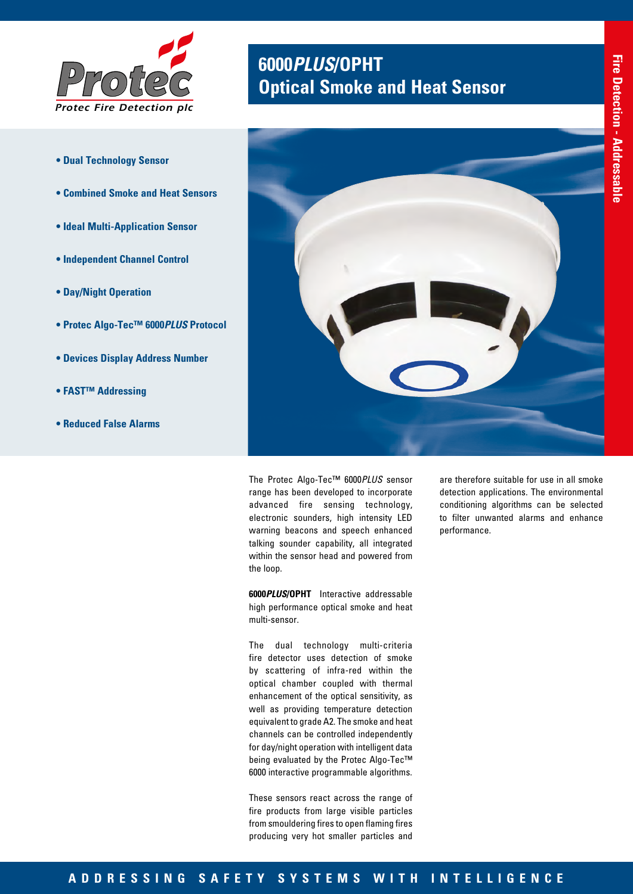

- **Dual Technology Sensor**
- **Combined Smoke and Heat Sensors**
- **Ideal Multi-Application Sensor**
- **Independent Channel Control**
- **Day/Night Operation**
- **Protec Algo-Tec™ 6000***PLUS* **Protocol**
- **Devices Display Address Number**
- **FAST™ Addressing**
- **Reduced False Alarms**

# **<sup>6000</sup>***PLUS***/OPHT** *Protec* **Optical Smoke and Heat Sensor**



The Protec Algo-Tec™ 6000*PLUS* sensor range has been developed to incorporate advanced fire sensing technology, electronic sounders, high intensity LED warning beacons and speech enhanced talking sounder capability, all integrated within the sensor head and powered from the loop.

**6000***PLUS***/OPHT** Interactive addressable high performance optical smoke and heat multi-sensor.

The dual technology multi-criteria fire detector uses detection of smoke by scattering of infra-red within the optical chamber coupled with thermal enhancement of the optical sensitivity, as well as providing temperature detection equivalent to grade A2. The smoke and heat channels can be controlled independently for day/night operation with intelligent data being evaluated by the Protec Algo-Tec™ 6000 interactive programmable algorithms.

These sensors react across the range of fire products from large visible particles from smouldering fires to open flaming fires producing very hot smaller particles and are therefore suitable for use in all smoke detection applications. The environmental conditioning algorithms can be selected to filter unwanted alarms and enhance performance.